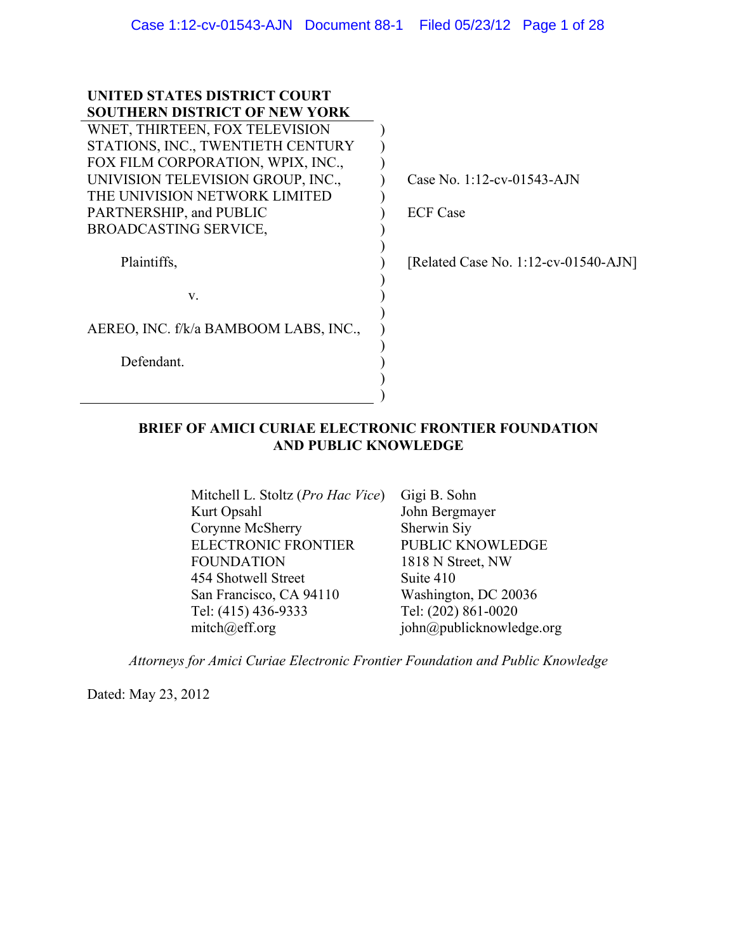| UNITED STATES DISTRICT COURT          |                                         |
|---------------------------------------|-----------------------------------------|
| <b>SOUTHERN DISTRICT OF NEW YORK</b>  |                                         |
| WNET, THIRTEEN, FOX TELEVISION        |                                         |
| STATIONS, INC., TWENTIETH CENTURY     |                                         |
| FOX FILM CORPORATION, WPIX, INC.,     |                                         |
| UNIVISION TELEVISION GROUP, INC.,     | Case No. 1:12-cv-01543-AJN              |
| THE UNIVISION NETWORK LIMITED         |                                         |
| PARTNERSHIP, and PUBLIC               | <b>ECF</b> Case                         |
| <b>BROADCASTING SERVICE,</b>          |                                         |
|                                       |                                         |
| Plaintiffs,                           | [Related Case No. $1:12$ -cv-01540-AJN] |
|                                       |                                         |
| V.                                    |                                         |
|                                       |                                         |
| AEREO, INC. f/k/a BAMBOOM LABS, INC., |                                         |
|                                       |                                         |
| Defendant.                            |                                         |
|                                       |                                         |
|                                       |                                         |
|                                       |                                         |

# **BRIEF OF AMICI CURIAE ELECTRONIC FRONTIER FOUNDATION AND PUBLIC KNOWLEDGE**

Mitchell L. Stoltz (*Pro Hac Vice*) Gigi B. Sohn Kurt Opsahl Corynne McSherry ELECTRONIC FRONTIER FOUNDATION 454 Shotwell Street San Francisco, CA 94110 Tel: (415) 436-9333 mitch@eff.org

John Bergmayer Sherwin Siy PUBLIC KNOWLEDGE 1818 N Street, NW Suite 410 Washington, DC 20036 Tel: (202) 861-0020 john@publicknowledge.org

*Attorneys for Amici Curiae Electronic Frontier Foundation and Public Knowledge*

Dated: May 23, 2012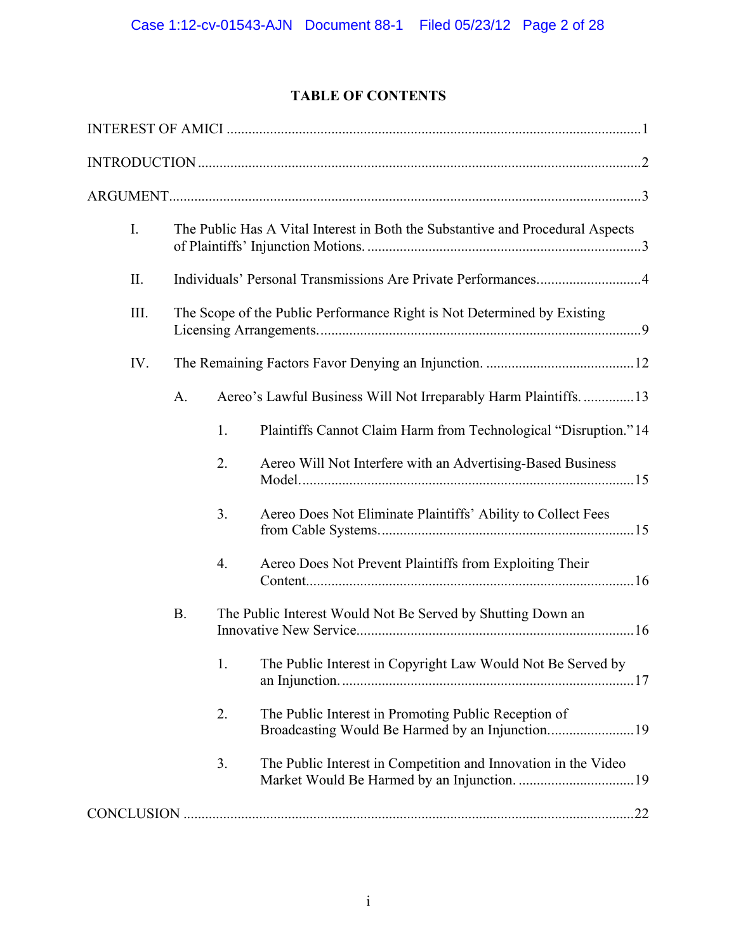# **TABLE OF CONTENTS**

| $\mathbf{I}$ . | The Public Has A Vital Interest in Both the Substantive and Procedural Aspects |    |                                                                                                          |  |
|----------------|--------------------------------------------------------------------------------|----|----------------------------------------------------------------------------------------------------------|--|
| II.            |                                                                                |    |                                                                                                          |  |
| III.           | The Scope of the Public Performance Right is Not Determined by Existing        |    |                                                                                                          |  |
| IV.            |                                                                                |    |                                                                                                          |  |
|                | A.                                                                             |    | Aereo's Lawful Business Will Not Irreparably Harm Plaintiffs13                                           |  |
|                |                                                                                | 1. | Plaintiffs Cannot Claim Harm from Technological "Disruption." 14                                         |  |
|                |                                                                                | 2. | Aereo Will Not Interfere with an Advertising-Based Business                                              |  |
|                |                                                                                | 3. | Aereo Does Not Eliminate Plaintiffs' Ability to Collect Fees                                             |  |
|                |                                                                                | 4. | Aereo Does Not Prevent Plaintiffs from Exploiting Their                                                  |  |
|                | <b>B.</b><br>The Public Interest Would Not Be Served by Shutting Down an       |    |                                                                                                          |  |
|                |                                                                                | 1. | The Public Interest in Copyright Law Would Not Be Served by                                              |  |
|                |                                                                                | 2. | The Public Interest in Promoting Public Reception of<br>Broadcasting Would Be Harmed by an Injunction 19 |  |
|                |                                                                                | 3. | The Public Interest in Competition and Innovation in the Video                                           |  |
|                |                                                                                |    |                                                                                                          |  |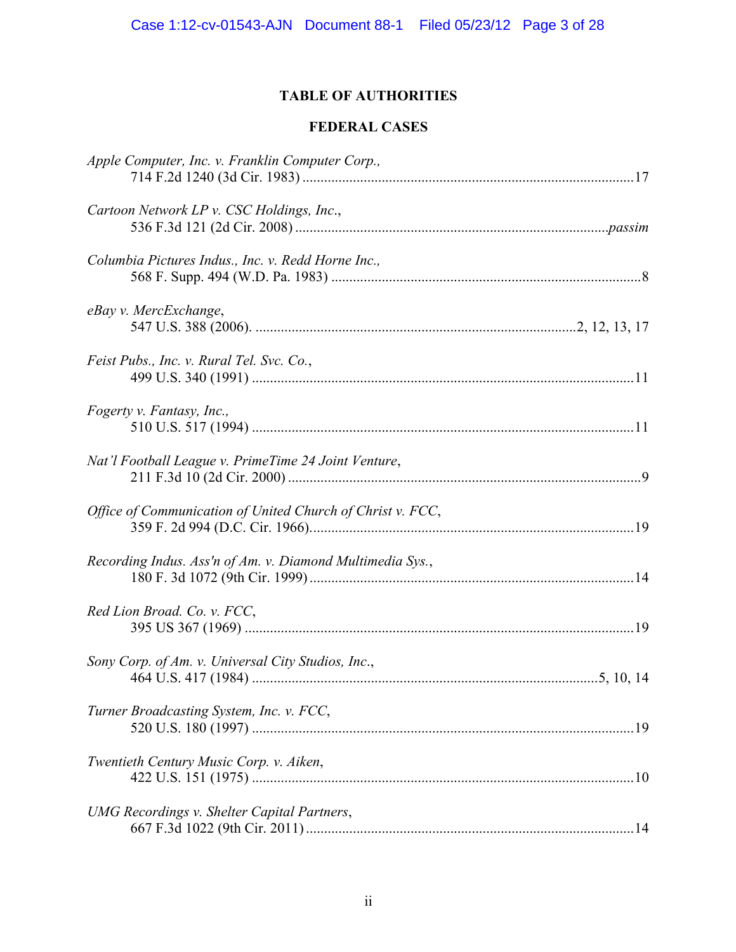# **TABLE OF AUTHORITIES**

# **FEDERAL CASES**

| Apple Computer, Inc. v. Franklin Computer Corp.,           |  |
|------------------------------------------------------------|--|
| Cartoon Network LP v. CSC Holdings, Inc.,                  |  |
| Columbia Pictures Indus., Inc. v. Redd Horne Inc.,         |  |
| eBay v. MercExchange,                                      |  |
| Feist Pubs., Inc. v. Rural Tel. Svc. Co.,                  |  |
| Fogerty v. Fantasy, Inc.,                                  |  |
| Nat'l Football League v. PrimeTime 24 Joint Venture,       |  |
| Office of Communication of United Church of Christ v. FCC, |  |
| Recording Indus. Ass'n of Am. v. Diamond Multimedia Sys.,  |  |
| Red Lion Broad. Co. v. FCC,                                |  |
| Sony Corp. of Am. v. Universal City Studios, Inc.,         |  |
| Turner Broadcasting System, Inc. v. FCC,                   |  |
| Twentieth Century Music Corp. v. Aiken,                    |  |
| UMG Recordings v. Shelter Capital Partners,                |  |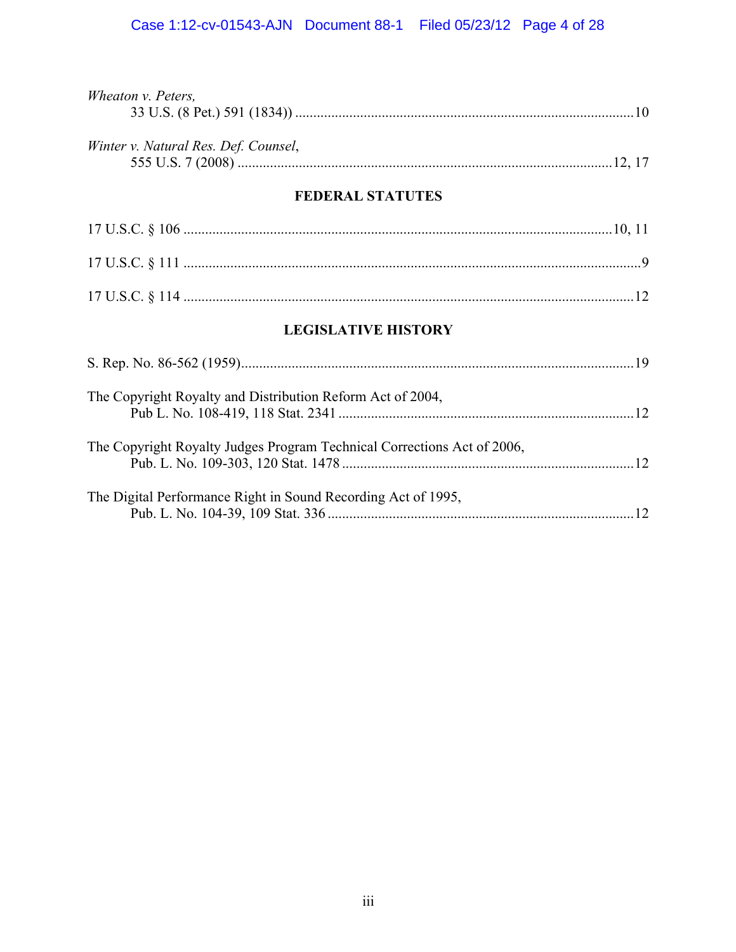| Wheaton v. Peters,                                                      |  |  |  |  |
|-------------------------------------------------------------------------|--|--|--|--|
| Winter v. Natural Res. Def. Counsel,                                    |  |  |  |  |
| <b>FEDERAL STATUTES</b>                                                 |  |  |  |  |
|                                                                         |  |  |  |  |
|                                                                         |  |  |  |  |
|                                                                         |  |  |  |  |
| <b>LEGISLATIVE HISTORY</b>                                              |  |  |  |  |
|                                                                         |  |  |  |  |
| The Copyright Royalty and Distribution Reform Act of 2004,              |  |  |  |  |
| The Copyright Royalty Judges Program Technical Corrections Act of 2006, |  |  |  |  |
| The Digital Performance Right in Sound Recording Act of 1995,           |  |  |  |  |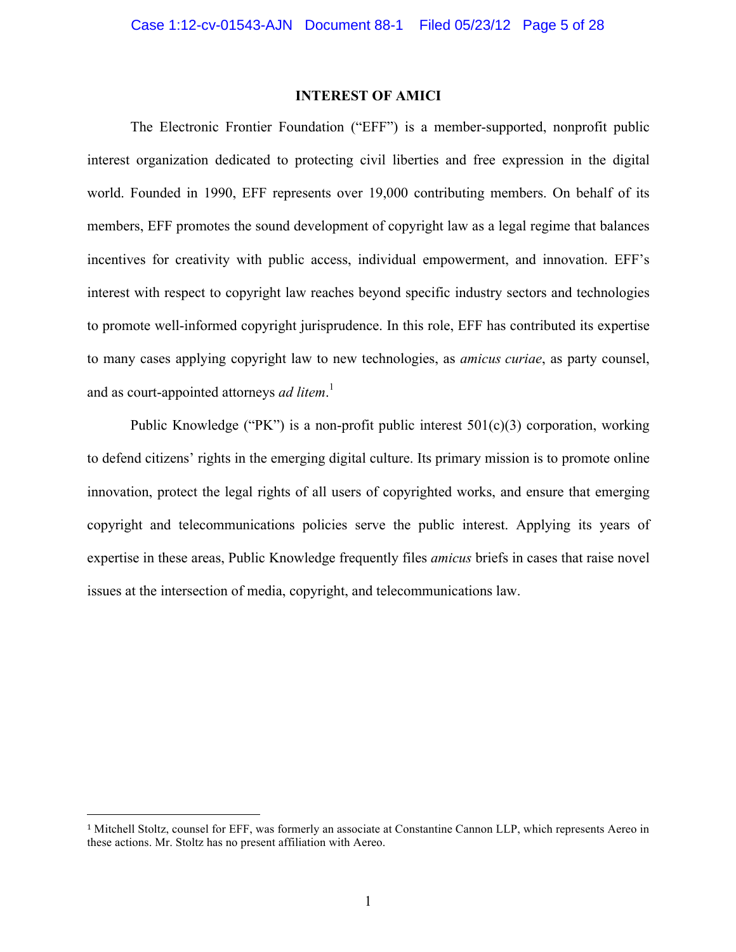## **INTEREST OF AMICI**

The Electronic Frontier Foundation ("EFF") is a member-supported, nonprofit public interest organization dedicated to protecting civil liberties and free expression in the digital world. Founded in 1990, EFF represents over 19,000 contributing members. On behalf of its members, EFF promotes the sound development of copyright law as a legal regime that balances incentives for creativity with public access, individual empowerment, and innovation. EFF's interest with respect to copyright law reaches beyond specific industry sectors and technologies to promote well-informed copyright jurisprudence. In this role, EFF has contributed its expertise to many cases applying copyright law to new technologies, as *amicus curiae*, as party counsel, and as court-appointed attorneys *ad litem*. 1

Public Knowledge ("PK") is a non-profit public interest  $501(c)(3)$  corporation, working to defend citizens' rights in the emerging digital culture. Its primary mission is to promote online innovation, protect the legal rights of all users of copyrighted works, and ensure that emerging copyright and telecommunications policies serve the public interest. Applying its years of expertise in these areas, Public Knowledge frequently files *amicus* briefs in cases that raise novel issues at the intersection of media, copyright, and telecommunications law.

<sup>1</sup> Mitchell Stoltz, counsel for EFF, was formerly an associate at Constantine Cannon LLP, which represents Aereo in these actions. Mr. Stoltz has no present affiliation with Aereo.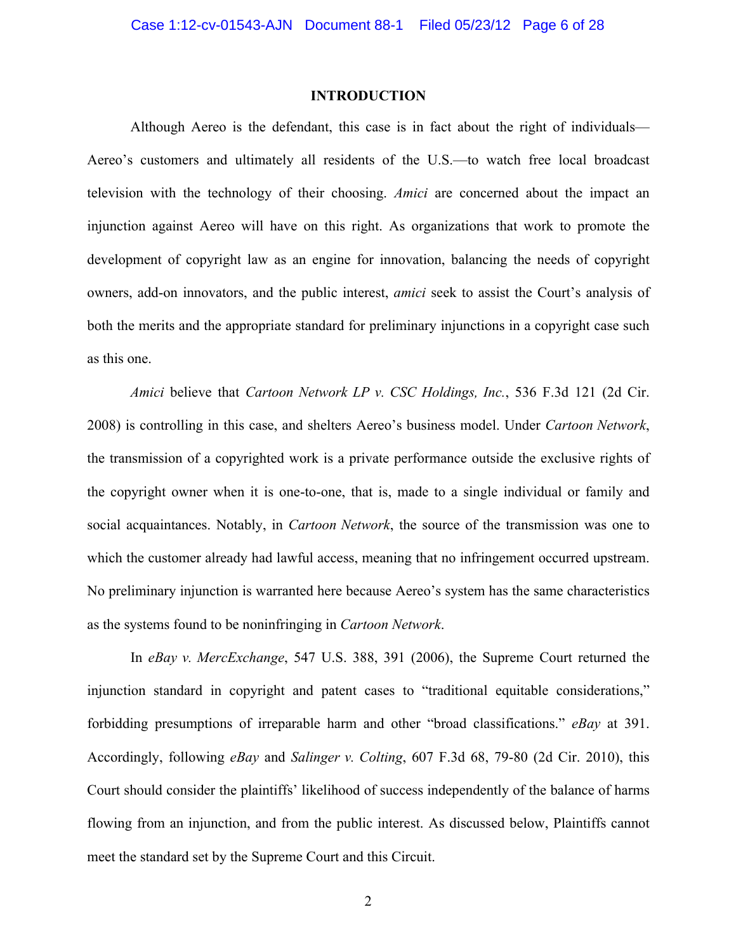#### **INTRODUCTION**

Although Aereo is the defendant, this case is in fact about the right of individuals— Aereo's customers and ultimately all residents of the U.S.—to watch free local broadcast television with the technology of their choosing. *Amici* are concerned about the impact an injunction against Aereo will have on this right. As organizations that work to promote the development of copyright law as an engine for innovation, balancing the needs of copyright owners, add-on innovators, and the public interest, *amici* seek to assist the Court's analysis of both the merits and the appropriate standard for preliminary injunctions in a copyright case such as this one.

*Amici* believe that *Cartoon Network LP v. CSC Holdings, Inc.*, 536 F.3d 121 (2d Cir. 2008) is controlling in this case, and shelters Aereo's business model. Under *Cartoon Network*, the transmission of a copyrighted work is a private performance outside the exclusive rights of the copyright owner when it is one-to-one, that is, made to a single individual or family and social acquaintances. Notably, in *Cartoon Network*, the source of the transmission was one to which the customer already had lawful access, meaning that no infringement occurred upstream. No preliminary injunction is warranted here because Aereo's system has the same characteristics as the systems found to be noninfringing in *Cartoon Network*.

In *eBay v. MercExchange*, 547 U.S. 388, 391 (2006), the Supreme Court returned the injunction standard in copyright and patent cases to "traditional equitable considerations," forbidding presumptions of irreparable harm and other "broad classifications." *eBay* at 391. Accordingly, following *eBay* and *Salinger v. Colting*, 607 F.3d 68, 79-80 (2d Cir. 2010), this Court should consider the plaintiffs' likelihood of success independently of the balance of harms flowing from an injunction, and from the public interest. As discussed below, Plaintiffs cannot meet the standard set by the Supreme Court and this Circuit.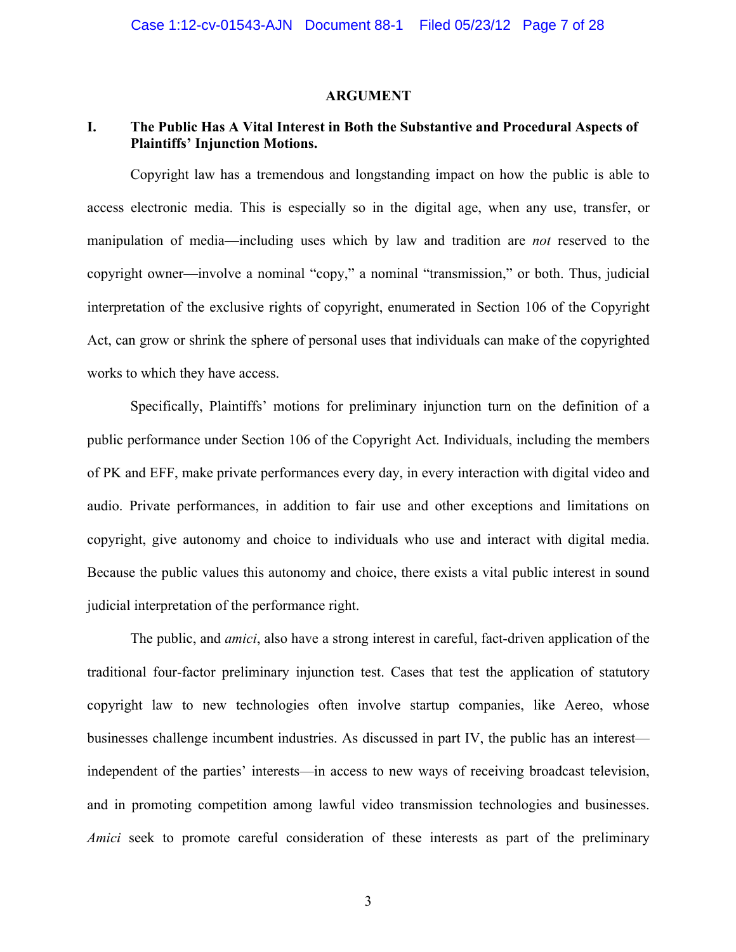### **ARGUMENT**

# **I. The Public Has A Vital Interest in Both the Substantive and Procedural Aspects of Plaintiffs' Injunction Motions.**

Copyright law has a tremendous and longstanding impact on how the public is able to access electronic media. This is especially so in the digital age, when any use, transfer, or manipulation of media—including uses which by law and tradition are *not* reserved to the copyright owner—involve a nominal "copy," a nominal "transmission," or both. Thus, judicial interpretation of the exclusive rights of copyright, enumerated in Section 106 of the Copyright Act, can grow or shrink the sphere of personal uses that individuals can make of the copyrighted works to which they have access.

Specifically, Plaintiffs' motions for preliminary injunction turn on the definition of a public performance under Section 106 of the Copyright Act. Individuals, including the members of PK and EFF, make private performances every day, in every interaction with digital video and audio. Private performances, in addition to fair use and other exceptions and limitations on copyright, give autonomy and choice to individuals who use and interact with digital media. Because the public values this autonomy and choice, there exists a vital public interest in sound judicial interpretation of the performance right.

The public, and *amici*, also have a strong interest in careful, fact-driven application of the traditional four-factor preliminary injunction test. Cases that test the application of statutory copyright law to new technologies often involve startup companies, like Aereo, whose businesses challenge incumbent industries. As discussed in part IV, the public has an interest independent of the parties' interests—in access to new ways of receiving broadcast television, and in promoting competition among lawful video transmission technologies and businesses. *Amici* seek to promote careful consideration of these interests as part of the preliminary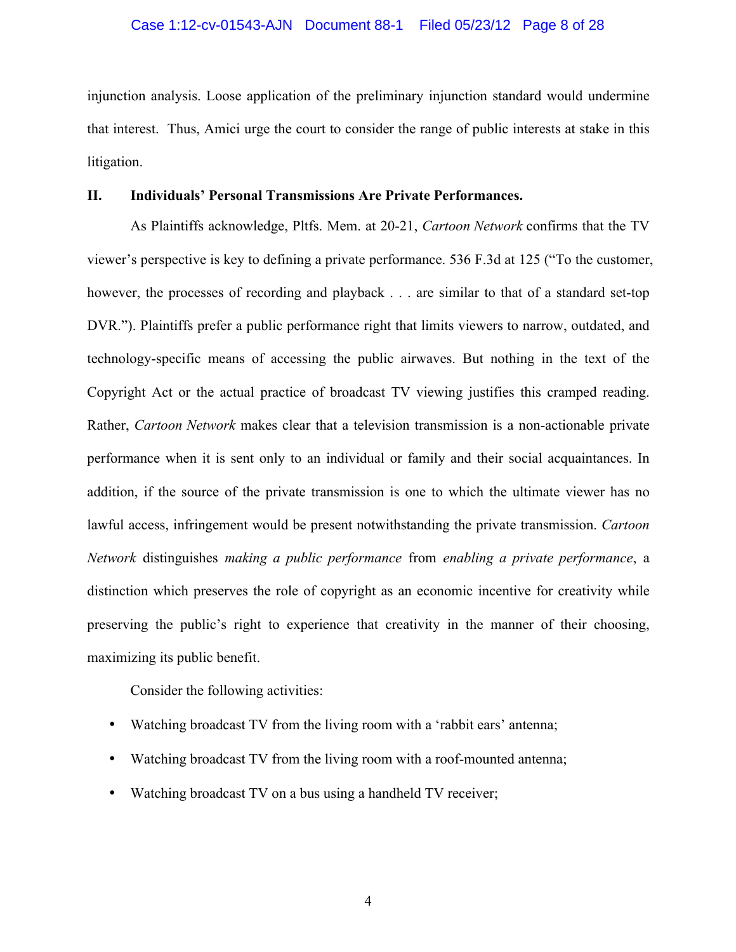injunction analysis. Loose application of the preliminary injunction standard would undermine that interest. Thus, Amici urge the court to consider the range of public interests at stake in this litigation.

## **II. Individuals' Personal Transmissions Are Private Performances.**

As Plaintiffs acknowledge, Pltfs. Mem. at 20-21, *Cartoon Network* confirms that the TV viewer's perspective is key to defining a private performance. 536 F.3d at 125 ("To the customer, however, the processes of recording and playback . . . are similar to that of a standard set-top DVR."). Plaintiffs prefer a public performance right that limits viewers to narrow, outdated, and technology-specific means of accessing the public airwaves. But nothing in the text of the Copyright Act or the actual practice of broadcast TV viewing justifies this cramped reading. Rather, *Cartoon Network* makes clear that a television transmission is a non-actionable private performance when it is sent only to an individual or family and their social acquaintances. In addition, if the source of the private transmission is one to which the ultimate viewer has no lawful access, infringement would be present notwithstanding the private transmission. *Cartoon Network* distinguishes *making a public performance* from *enabling a private performance*, a distinction which preserves the role of copyright as an economic incentive for creativity while preserving the public's right to experience that creativity in the manner of their choosing, maximizing its public benefit.

Consider the following activities:

- Watching broadcast TV from the living room with a 'rabbit ears' antenna;
- Watching broadcast TV from the living room with a roof-mounted antenna;
- Watching broadcast TV on a bus using a handheld TV receiver;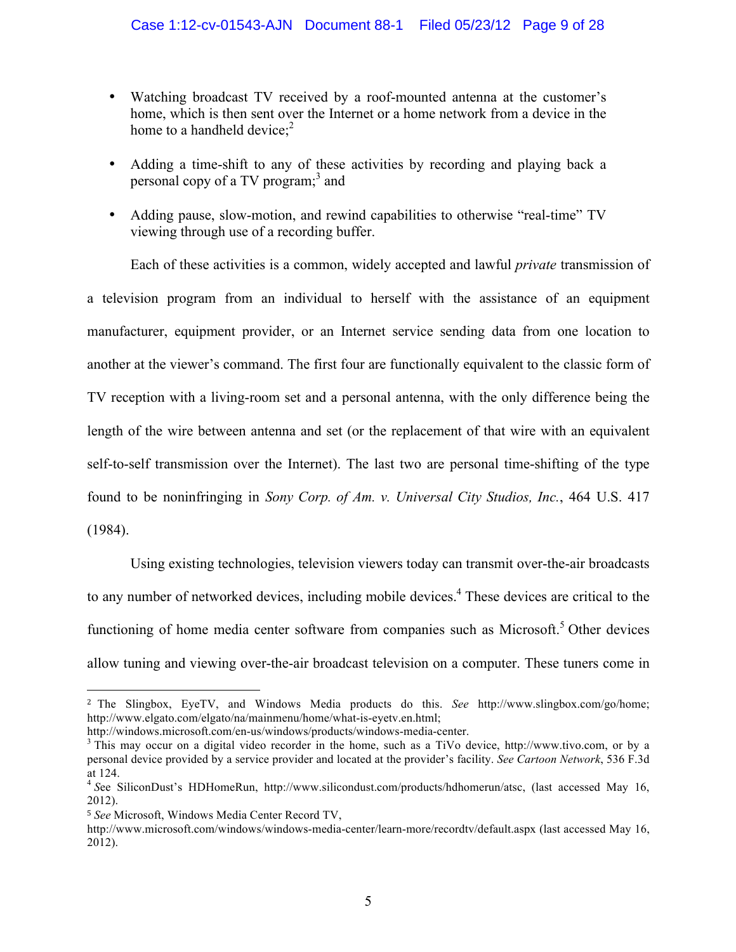- Watching broadcast TV received by a roof-mounted antenna at the customer's home, which is then sent over the Internet or a home network from a device in the home to a handheld device;<sup>2</sup>
- Adding a time-shift to any of these activities by recording and playing back a personal copy of a TV program;<sup>3</sup> and
- Adding pause, slow-motion, and rewind capabilities to otherwise "real-time" TV viewing through use of a recording buffer.

Each of these activities is a common, widely accepted and lawful *private* transmission of a television program from an individual to herself with the assistance of an equipment manufacturer, equipment provider, or an Internet service sending data from one location to another at the viewer's command. The first four are functionally equivalent to the classic form of TV reception with a living-room set and a personal antenna, with the only difference being the length of the wire between antenna and set (or the replacement of that wire with an equivalent self-to-self transmission over the Internet). The last two are personal time-shifting of the type found to be noninfringing in *Sony Corp. of Am. v. Universal City Studios, Inc.*, 464 U.S. 417 (1984).

Using existing technologies, television viewers today can transmit over-the-air broadcasts to any number of networked devices, including mobile devices.<sup>4</sup> These devices are critical to the functioning of home media center software from companies such as Microsoft.<sup>5</sup> Other devices allow tuning and viewing over-the-air broadcast television on a computer. These tuners come in

<sup>2</sup> The Slingbox, EyeTV, and Windows Media products do this. *See* http://www.slingbox.com/go/home; http://www.elgato.com/elgato/na/mainmenu/home/what-is-eyetv.en.html;

http://windows.microsoft.com/en-us/windows/products/windows-media-center.<br><sup>3</sup> This may occur on a digital video recorder in the home, such as a TiVo device, http://www.tivo.com, or by a personal device provided by a service provider and located at the provider's facility. *See Cartoon Network*, 536 F.3d at 124.<br><sup>4</sup> See SiliconDust's HDHomeRun, http://www.silicondust.com/products/hdhomerun/atsc, (last accessed May 16,

<sup>2012).</sup>

<sup>5</sup> *See* Microsoft, Windows Media Center Record TV,

http://www.microsoft.com/windows/windows-media-center/learn-more/recordtv/default.aspx (last accessed May 16, 2012).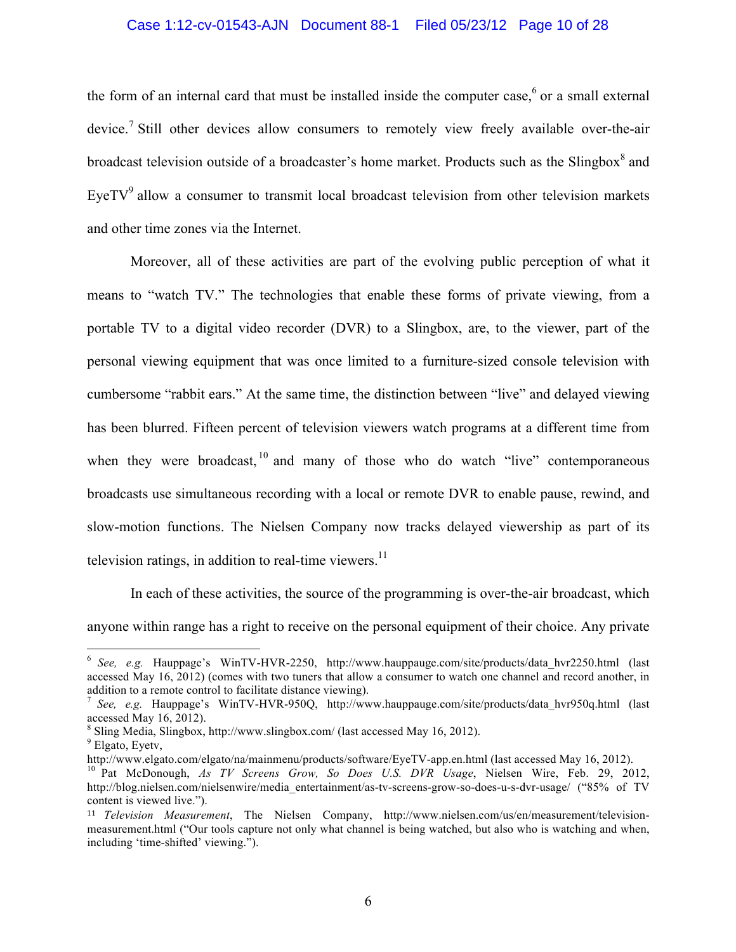# Case 1:12-cv-01543-AJN Document 88-1 Filed 05/23/12 Page 10 of 28

the form of an internal card that must be installed inside the computer case, $6$  or a small external device.<sup>7</sup> Still other devices allow consumers to remotely view freely available over-the-air broadcast television outside of a broadcaster's home market. Products such as the Slingbox<sup>8</sup> and EyeTV $9$  allow a consumer to transmit local broadcast television from other television markets and other time zones via the Internet.

Moreover, all of these activities are part of the evolving public perception of what it means to "watch TV." The technologies that enable these forms of private viewing, from a portable TV to a digital video recorder (DVR) to a Slingbox, are, to the viewer, part of the personal viewing equipment that was once limited to a furniture-sized console television with cumbersome "rabbit ears." At the same time, the distinction between "live" and delayed viewing has been blurred. Fifteen percent of television viewers watch programs at a different time from when they were broadcast,  $\frac{10}{10}$  and many of those who do watch "live" contemporaneous broadcasts use simultaneous recording with a local or remote DVR to enable pause, rewind, and slow-motion functions. The Nielsen Company now tracks delayed viewership as part of its television ratings, in addition to real-time viewers. $^{11}$ 

In each of these activities, the source of the programming is over-the-air broadcast, which anyone within range has a right to receive on the personal equipment of their choice. Any private

<sup>&</sup>lt;sup>6</sup> See, e.g. Hauppage's WinTV-HVR-2250, http://www.hauppauge.com/site/products/data\_hvr2250.html (last accessed May 16, 2012) (comes with two tuners that allow a consumer to watch one channel and record another, in addition to a remote control to facilitate distance viewing).<br><sup>7</sup> *See, e.g.* Hauppage's WinTV-HVR-950Q, http://www.hauppauge.com/site/products/data\_hvr950q.html (last

accessed May 16, 2012).

 $\frac{8}{9}$  Sling Media, Slingbox, http://www.slingbox.com/ (last accessed May 16, 2012).  $\frac{9}{9}$  Elgato, Eyetv,

http://www.elgato.com/elgato/na/mainmenu/products/software/EyeTV-app.en.html (last accessed May 16, 2012). <sup>10</sup> Pat McDonough, *As TV Screens Grow, So Does U.S. DVR Usage*, Nielsen Wire, Feb. 29, 2012,

http://blog.nielsen.com/nielsenwire/media\_entertainment/as-tv-screens-grow-so-does-u-s-dvr-usage/ ("85% of TV content is viewed live.").

<sup>11</sup> *Television Measurement*, The Nielsen Company, http://www.nielsen.com/us/en/measurement/televisionmeasurement.html ("Our tools capture not only what channel is being watched, but also who is watching and when, including 'time-shifted' viewing.").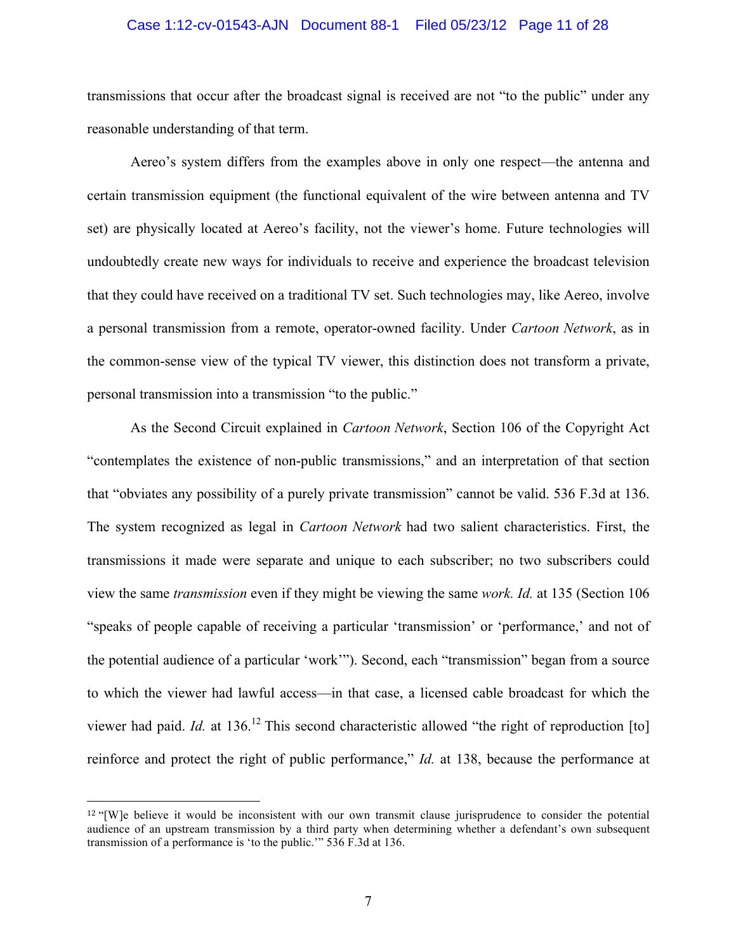#### Case 1:12-cv-01543-AJN Document 88-1 Filed 05/23/12 Page 11 of 28

transmissions that occur after the broadcast signal is received are not "to the public" under any reasonable understanding of that term.

Aereo's system differs from the examples above in only one respect—the antenna and certain transmission equipment (the functional equivalent of the wire between antenna and TV set) are physically located at Aereo's facility, not the viewer's home. Future technologies will undoubtedly create new ways for individuals to receive and experience the broadcast television that they could have received on a traditional TV set. Such technologies may, like Aereo, involve a personal transmission from a remote, operator-owned facility. Under *Cartoon Network*, as in the common-sense view of the typical TV viewer, this distinction does not transform a private, personal transmission into a transmission "to the public."

As the Second Circuit explained in *Cartoon Network*, Section 106 of the Copyright Act "contemplates the existence of non-public transmissions," and an interpretation of that section that "obviates any possibility of a purely private transmission" cannot be valid. 536 F.3d at 136. The system recognized as legal in *Cartoon Network* had two salient characteristics. First, the transmissions it made were separate and unique to each subscriber; no two subscribers could view the same *transmission* even if they might be viewing the same *work. Id.* at 135 (Section 106 "speaks of people capable of receiving a particular 'transmission' or 'performance,' and not of the potential audience of a particular 'work'"). Second, each "transmission" began from a source to which the viewer had lawful access—in that case, a licensed cable broadcast for which the viewer had paid. *Id.* at 136.<sup>12</sup> This second characteristic allowed "the right of reproduction [to] reinforce and protect the right of public performance," *Id.* at 138, because the performance at

<sup>&</sup>lt;sup>12</sup> "[W]e believe it would be inconsistent with our own transmit clause jurisprudence to consider the potential audience of an upstream transmission by a third party when determining whether a defendant's own subsequent transmission of a performance is 'to the public.'" 536 F.3d at 136.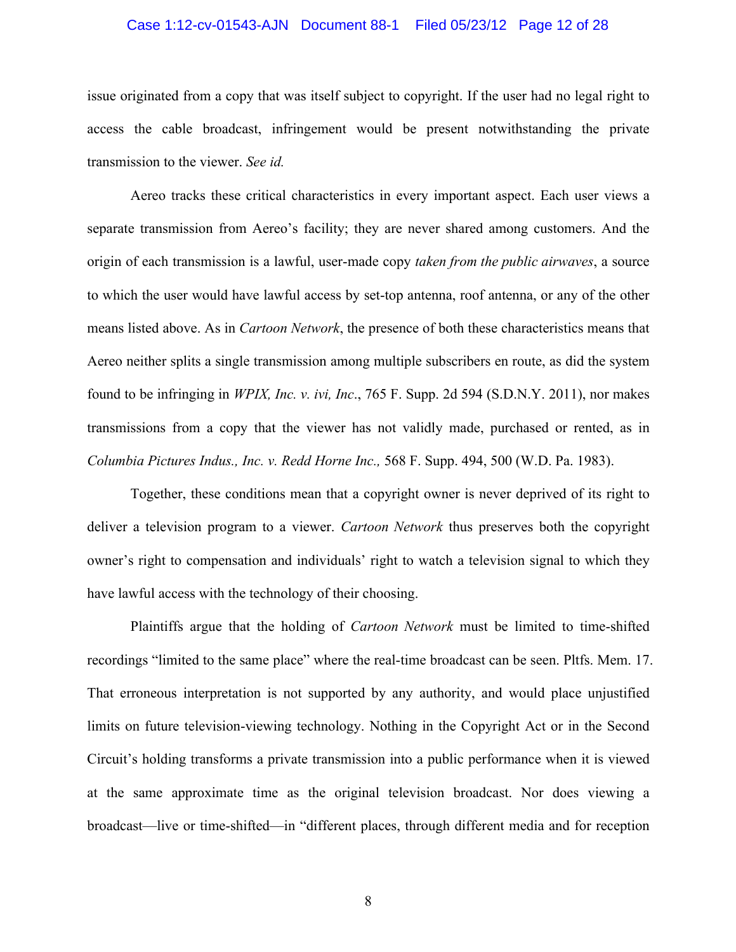#### Case 1:12-cv-01543-AJN Document 88-1 Filed 05/23/12 Page 12 of 28

issue originated from a copy that was itself subject to copyright. If the user had no legal right to access the cable broadcast, infringement would be present notwithstanding the private transmission to the viewer. *See id.*

Aereo tracks these critical characteristics in every important aspect. Each user views a separate transmission from Aereo's facility; they are never shared among customers. And the origin of each transmission is a lawful, user-made copy *taken from the public airwaves*, a source to which the user would have lawful access by set-top antenna, roof antenna, or any of the other means listed above. As in *Cartoon Network*, the presence of both these characteristics means that Aereo neither splits a single transmission among multiple subscribers en route, as did the system found to be infringing in *WPIX, Inc. v. ivi, Inc*., 765 F. Supp. 2d 594 (S.D.N.Y. 2011), nor makes transmissions from a copy that the viewer has not validly made, purchased or rented, as in *Columbia Pictures Indus., Inc. v. Redd Horne Inc.,* 568 F. Supp. 494, 500 (W.D. Pa. 1983).

Together, these conditions mean that a copyright owner is never deprived of its right to deliver a television program to a viewer. *Cartoon Network* thus preserves both the copyright owner's right to compensation and individuals' right to watch a television signal to which they have lawful access with the technology of their choosing.

Plaintiffs argue that the holding of *Cartoon Network* must be limited to time-shifted recordings "limited to the same place" where the real-time broadcast can be seen. Pltfs. Mem. 17. That erroneous interpretation is not supported by any authority, and would place unjustified limits on future television-viewing technology. Nothing in the Copyright Act or in the Second Circuit's holding transforms a private transmission into a public performance when it is viewed at the same approximate time as the original television broadcast. Nor does viewing a broadcast—live or time-shifted—in "different places, through different media and for reception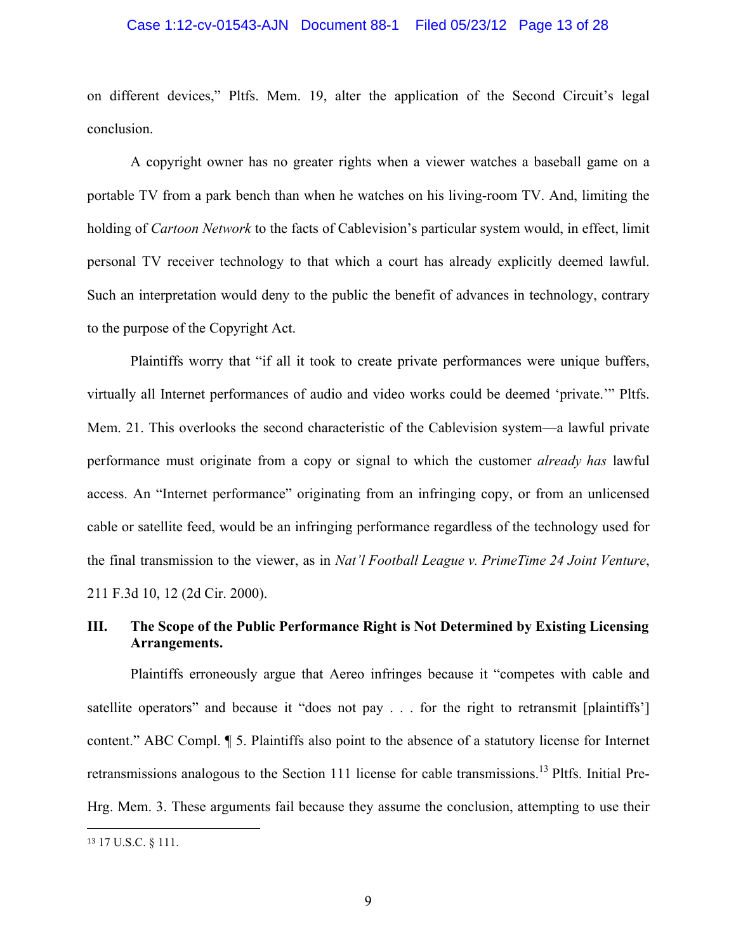#### Case 1:12-cv-01543-AJN Document 88-1 Filed 05/23/12 Page 13 of 28

on different devices," Pltfs. Mem. 19, alter the application of the Second Circuit's legal conclusion.

A copyright owner has no greater rights when a viewer watches a baseball game on a portable TV from a park bench than when he watches on his living-room TV. And, limiting the holding of *Cartoon Network* to the facts of Cablevision's particular system would, in effect, limit personal TV receiver technology to that which a court has already explicitly deemed lawful. Such an interpretation would deny to the public the benefit of advances in technology, contrary to the purpose of the Copyright Act.

Plaintiffs worry that "if all it took to create private performances were unique buffers, virtually all Internet performances of audio and video works could be deemed 'private.'" Pltfs. Mem. 21. This overlooks the second characteristic of the Cablevision system—a lawful private performance must originate from a copy or signal to which the customer *already has* lawful access. An "Internet performance" originating from an infringing copy, or from an unlicensed cable or satellite feed, would be an infringing performance regardless of the technology used for the final transmission to the viewer, as in *Nat'l Football League v. PrimeTime 24 Joint Venture*, 211 F.3d 10, 12 (2d Cir. 2000).

# **III. The Scope of the Public Performance Right is Not Determined by Existing Licensing Arrangements.**

Plaintiffs erroneously argue that Aereo infringes because it "competes with cable and satellite operators" and because it "does not pay . . . for the right to retransmit [plaintiffs'] content." ABC Compl. ¶ 5. Plaintiffs also point to the absence of a statutory license for Internet retransmissions analogous to the Section 111 license for cable transmissions.<sup>13</sup> Pltfs. Initial Pre-Hrg. Mem. 3. These arguments fail because they assume the conclusion, attempting to use their

<sup>13</sup> 17 U.S.C. § 111.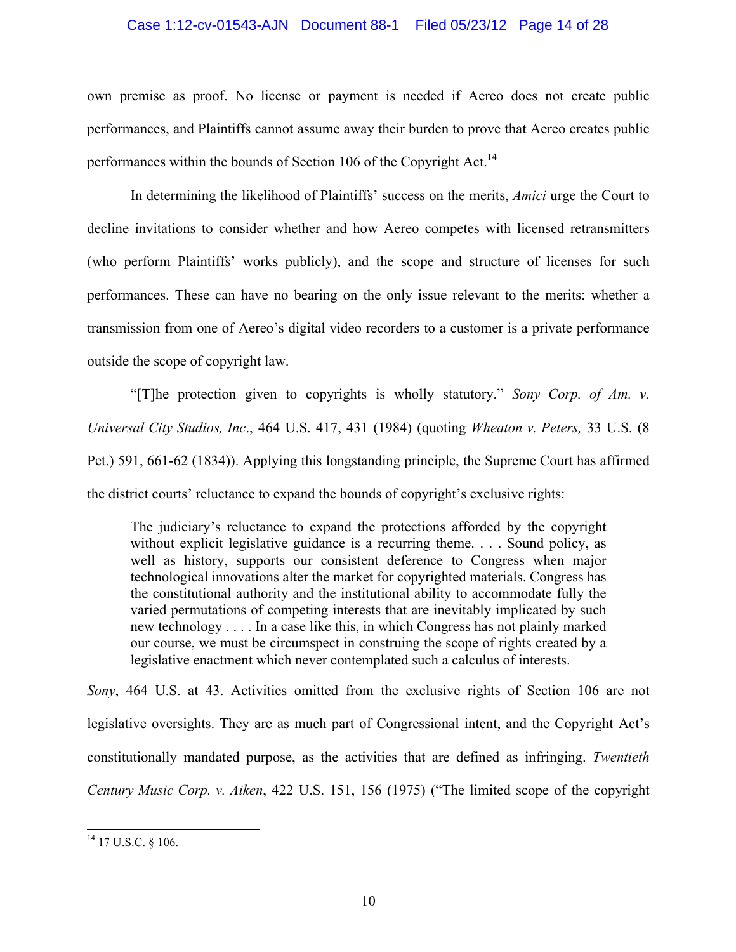### Case 1:12-cv-01543-AJN Document 88-1 Filed 05/23/12 Page 14 of 28

own premise as proof. No license or payment is needed if Aereo does not create public performances, and Plaintiffs cannot assume away their burden to prove that Aereo creates public performances within the bounds of Section 106 of the Copyright Act.<sup>14</sup>

In determining the likelihood of Plaintiffs' success on the merits, *Amici* urge the Court to decline invitations to consider whether and how Aereo competes with licensed retransmitters (who perform Plaintiffs' works publicly), and the scope and structure of licenses for such performances. These can have no bearing on the only issue relevant to the merits: whether a transmission from one of Aereo's digital video recorders to a customer is a private performance outside the scope of copyright law.

"[T]he protection given to copyrights is wholly statutory." *Sony Corp. of Am. v. Universal City Studios, Inc*., 464 U.S. 417, 431 (1984) (quoting *Wheaton v. Peters,* 33 U.S. (8 Pet.) 591, 661-62 (1834)). Applying this longstanding principle, the Supreme Court has affirmed the district courts' reluctance to expand the bounds of copyright's exclusive rights:

The judiciary's reluctance to expand the protections afforded by the copyright without explicit legislative guidance is a recurring theme. . . . Sound policy, as well as history, supports our consistent deference to Congress when major technological innovations alter the market for copyrighted materials. Congress has the constitutional authority and the institutional ability to accommodate fully the varied permutations of competing interests that are inevitably implicated by such new technology . . . . In a case like this, in which Congress has not plainly marked our course, we must be circumspect in construing the scope of rights created by a legislative enactment which never contemplated such a calculus of interests.

*Sony*, 464 U.S. at 43. Activities omitted from the exclusive rights of Section 106 are not legislative oversights. They are as much part of Congressional intent, and the Copyright Act's constitutionally mandated purpose, as the activities that are defined as infringing. *Twentieth Century Music Corp. v. Aiken*, 422 U.S. 151, 156 (1975) ("The limited scope of the copyright

 $14$  17 U.S.C. § 106.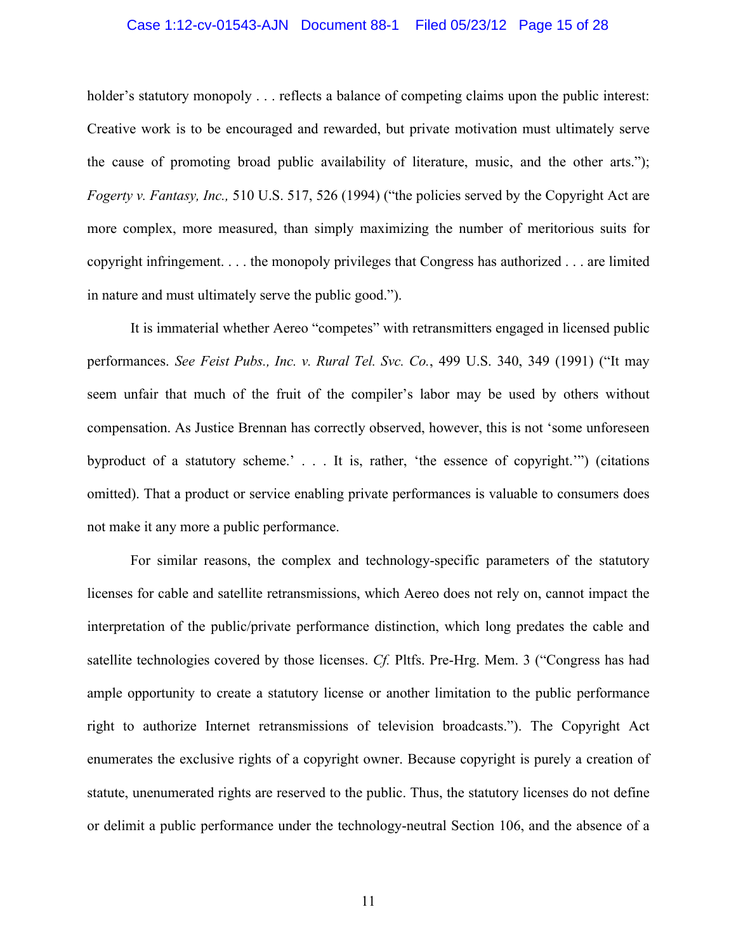# Case 1:12-cv-01543-AJN Document 88-1 Filed 05/23/12 Page 15 of 28

holder's statutory monopoly . . . reflects a balance of competing claims upon the public interest: Creative work is to be encouraged and rewarded, but private motivation must ultimately serve the cause of promoting broad public availability of literature, music, and the other arts."); *Fogerty v. Fantasy, Inc.,* 510 U.S. 517, 526 (1994) ("the policies served by the Copyright Act are more complex, more measured, than simply maximizing the number of meritorious suits for copyright infringement. . . . the monopoly privileges that Congress has authorized . . . are limited in nature and must ultimately serve the public good.").

It is immaterial whether Aereo "competes" with retransmitters engaged in licensed public performances. *See Feist Pubs., Inc. v. Rural Tel. Svc. Co.*, 499 U.S. 340, 349 (1991) ("It may seem unfair that much of the fruit of the compiler's labor may be used by others without compensation. As Justice Brennan has correctly observed, however, this is not 'some unforeseen byproduct of a statutory scheme.' . . . It is, rather, 'the essence of copyright.'") (citations omitted). That a product or service enabling private performances is valuable to consumers does not make it any more a public performance.

For similar reasons, the complex and technology-specific parameters of the statutory licenses for cable and satellite retransmissions, which Aereo does not rely on, cannot impact the interpretation of the public/private performance distinction, which long predates the cable and satellite technologies covered by those licenses. *Cf.* Pltfs. Pre-Hrg. Mem. 3 ("Congress has had ample opportunity to create a statutory license or another limitation to the public performance right to authorize Internet retransmissions of television broadcasts."). The Copyright Act enumerates the exclusive rights of a copyright owner. Because copyright is purely a creation of statute, unenumerated rights are reserved to the public. Thus, the statutory licenses do not define or delimit a public performance under the technology-neutral Section 106, and the absence of a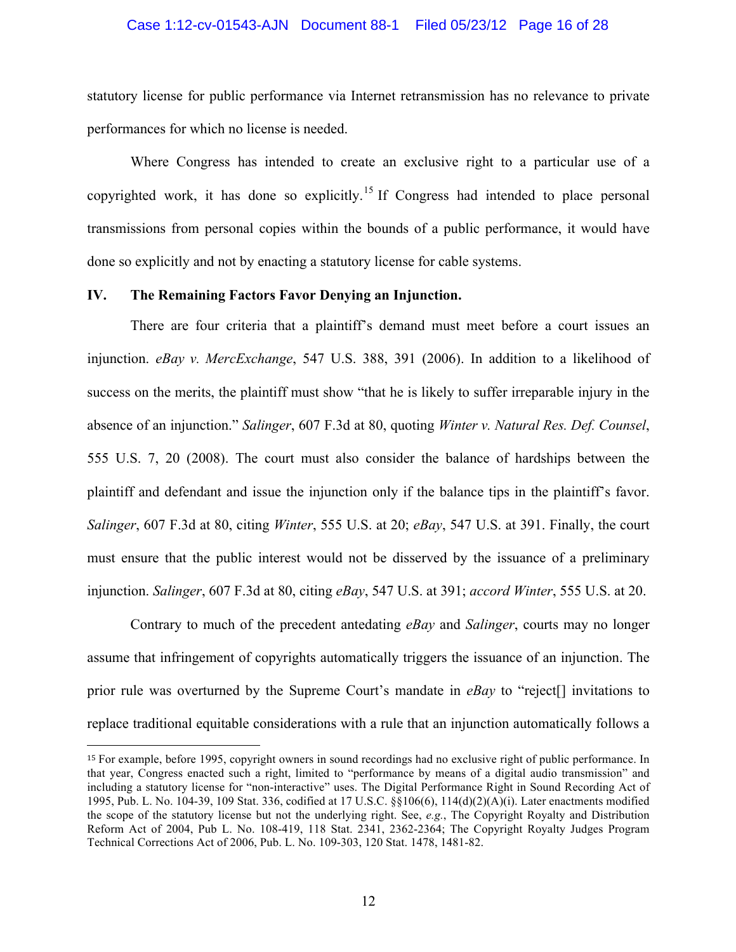#### Case 1:12-cv-01543-AJN Document 88-1 Filed 05/23/12 Page 16 of 28

statutory license for public performance via Internet retransmission has no relevance to private performances for which no license is needed.

Where Congress has intended to create an exclusive right to a particular use of a copyrighted work, it has done so explicitly.<sup>15</sup> If Congress had intended to place personal transmissions from personal copies within the bounds of a public performance, it would have done so explicitly and not by enacting a statutory license for cable systems.

## **IV. The Remaining Factors Favor Denying an Injunction.**

!!!!!!!!!!!!!!!!!!!!!!!!!!!!!!!!!!!!!!!!!!!!!!!!!!!!!!!

There are four criteria that a plaintiff's demand must meet before a court issues an injunction. *eBay v. MercExchange*, 547 U.S. 388, 391 (2006). In addition to a likelihood of success on the merits, the plaintiff must show "that he is likely to suffer irreparable injury in the absence of an injunction." *Salinger*, 607 F.3d at 80, quoting *Winter v. Natural Res. Def. Counsel*, 555 U.S. 7, 20 (2008). The court must also consider the balance of hardships between the plaintiff and defendant and issue the injunction only if the balance tips in the plaintiff's favor. *Salinger*, 607 F.3d at 80, citing *Winter*, 555 U.S. at 20; *eBay*, 547 U.S. at 391. Finally, the court must ensure that the public interest would not be disserved by the issuance of a preliminary injunction. *Salinger*, 607 F.3d at 80, citing *eBay*, 547 U.S. at 391; *accord Winter*, 555 U.S. at 20.

Contrary to much of the precedent antedating *eBay* and *Salinger*, courts may no longer assume that infringement of copyrights automatically triggers the issuance of an injunction. The prior rule was overturned by the Supreme Court's mandate in *eBay* to "reject[] invitations to replace traditional equitable considerations with a rule that an injunction automatically follows a

<sup>15</sup> For example, before 1995, copyright owners in sound recordings had no exclusive right of public performance. In that year, Congress enacted such a right, limited to "performance by means of a digital audio transmission" and including a statutory license for "non-interactive" uses. The Digital Performance Right in Sound Recording Act of 1995, Pub. L. No. 104-39, 109 Stat. 336, codified at 17 U.S.C. §§106(6), 114(d)(2)(A)(i). Later enactments modified the scope of the statutory license but not the underlying right. See, *e.g.*, The Copyright Royalty and Distribution Reform Act of 2004, Pub L. No. 108-419, 118 Stat. 2341, 2362-2364; The Copyright Royalty Judges Program Technical Corrections Act of 2006, Pub. L. No. 109-303, 120 Stat. 1478, 1481-82.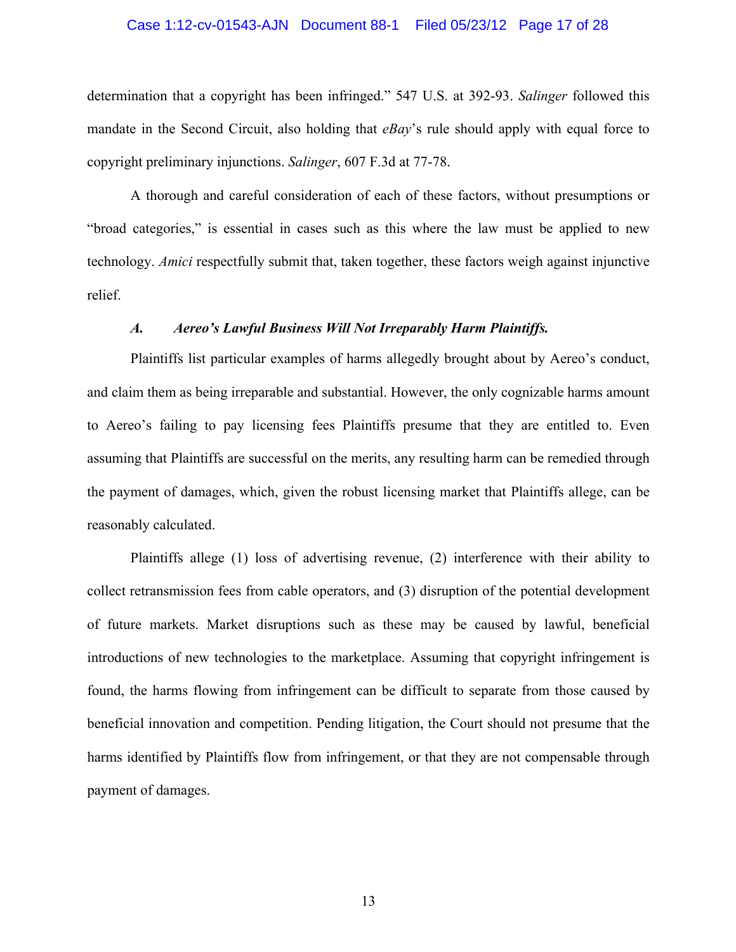#### Case 1:12-cv-01543-AJN Document 88-1 Filed 05/23/12 Page 17 of 28

determination that a copyright has been infringed." 547 U.S. at 392-93. *Salinger* followed this mandate in the Second Circuit, also holding that *eBay*'s rule should apply with equal force to copyright preliminary injunctions. *Salinger*, 607 F.3d at 77-78.

A thorough and careful consideration of each of these factors, without presumptions or "broad categories," is essential in cases such as this where the law must be applied to new technology. *Amici* respectfully submit that, taken together, these factors weigh against injunctive relief.

### *A. Aereo's Lawful Business Will Not Irreparably Harm Plaintiffs.*

Plaintiffs list particular examples of harms allegedly brought about by Aereo's conduct, and claim them as being irreparable and substantial. However, the only cognizable harms amount to Aereo's failing to pay licensing fees Plaintiffs presume that they are entitled to. Even assuming that Plaintiffs are successful on the merits, any resulting harm can be remedied through the payment of damages, which, given the robust licensing market that Plaintiffs allege, can be reasonably calculated.

Plaintiffs allege (1) loss of advertising revenue, (2) interference with their ability to collect retransmission fees from cable operators, and (3) disruption of the potential development of future markets. Market disruptions such as these may be caused by lawful, beneficial introductions of new technologies to the marketplace. Assuming that copyright infringement is found, the harms flowing from infringement can be difficult to separate from those caused by beneficial innovation and competition. Pending litigation, the Court should not presume that the harms identified by Plaintiffs flow from infringement, or that they are not compensable through payment of damages.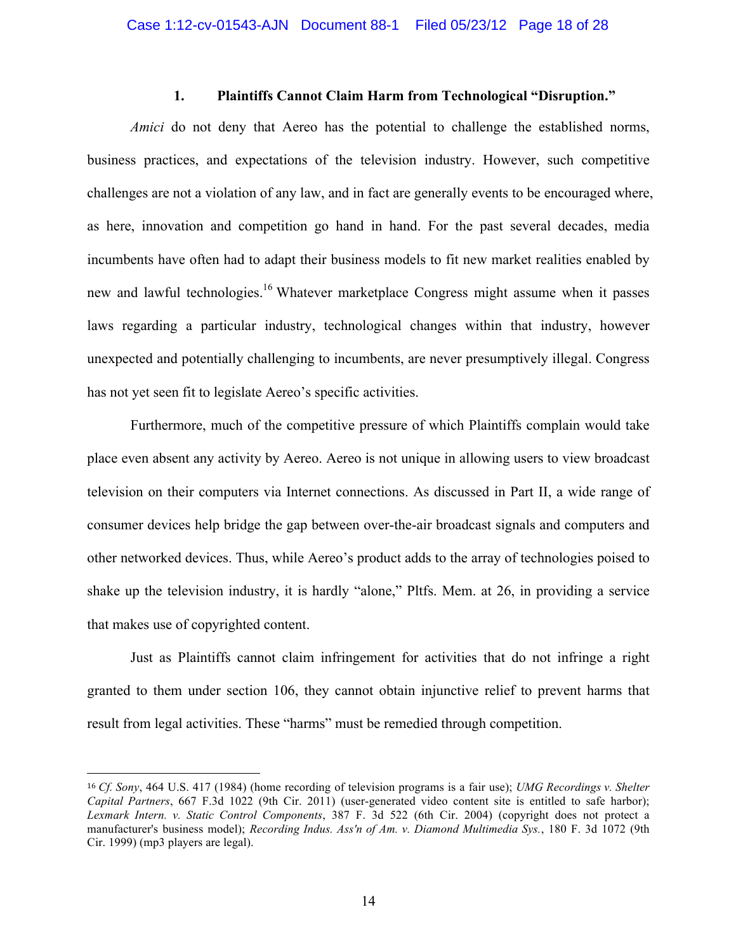### **1. Plaintiffs Cannot Claim Harm from Technological "Disruption."**

*Amici* do not deny that Aereo has the potential to challenge the established norms, business practices, and expectations of the television industry. However, such competitive challenges are not a violation of any law, and in fact are generally events to be encouraged where, as here, innovation and competition go hand in hand. For the past several decades, media incumbents have often had to adapt their business models to fit new market realities enabled by new and lawful technologies.<sup>16</sup> Whatever marketplace Congress might assume when it passes laws regarding a particular industry, technological changes within that industry, however unexpected and potentially challenging to incumbents, are never presumptively illegal. Congress has not yet seen fit to legislate Aereo's specific activities.

Furthermore, much of the competitive pressure of which Plaintiffs complain would take place even absent any activity by Aereo. Aereo is not unique in allowing users to view broadcast television on their computers via Internet connections. As discussed in Part II, a wide range of consumer devices help bridge the gap between over-the-air broadcast signals and computers and other networked devices. Thus, while Aereo's product adds to the array of technologies poised to shake up the television industry, it is hardly "alone," Pltfs. Mem. at 26, in providing a service that makes use of copyrighted content.

Just as Plaintiffs cannot claim infringement for activities that do not infringe a right granted to them under section 106, they cannot obtain injunctive relief to prevent harms that result from legal activities. These "harms" must be remedied through competition.

<sup>16</sup> *Cf. Sony*, 464 U.S. 417 (1984) (home recording of television programs is a fair use); *UMG Recordings v. Shelter Capital Partners*, 667 F.3d 1022 (9th Cir. 2011) (user-generated video content site is entitled to safe harbor); *Lexmark Intern. v. Static Control Components*, 387 F. 3d 522 (6th Cir. 2004) (copyright does not protect a manufacturer's business model); *Recording Indus. Ass'n of Am. v. Diamond Multimedia Sys.*, 180 F. 3d 1072 (9th Cir. 1999) (mp3 players are legal).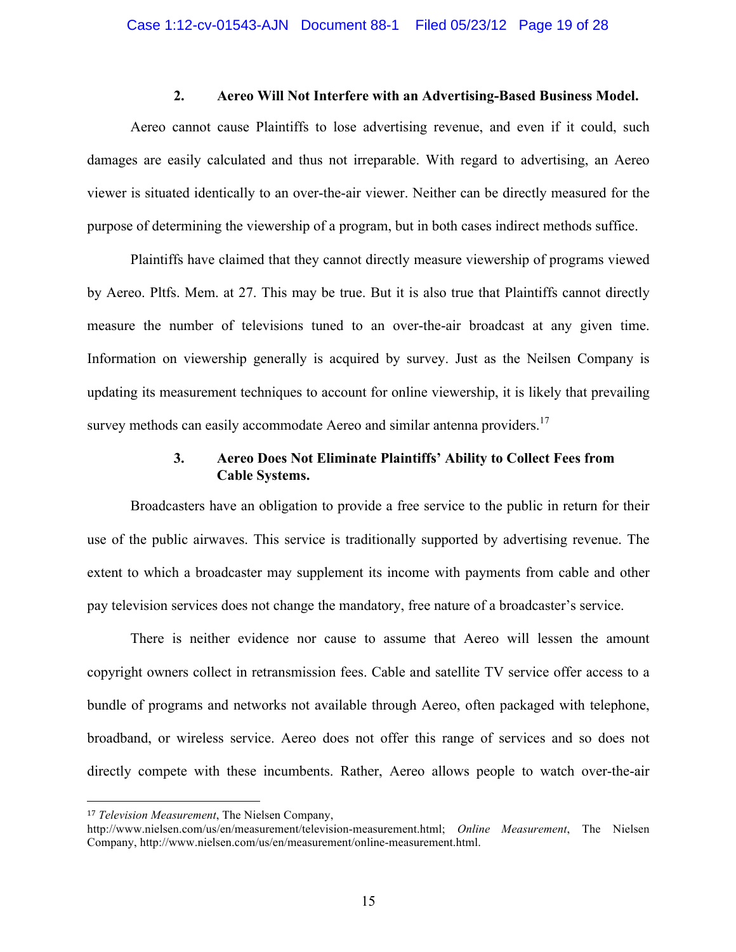### **2. Aereo Will Not Interfere with an Advertising-Based Business Model.**

Aereo cannot cause Plaintiffs to lose advertising revenue, and even if it could, such damages are easily calculated and thus not irreparable. With regard to advertising, an Aereo viewer is situated identically to an over-the-air viewer. Neither can be directly measured for the purpose of determining the viewership of a program, but in both cases indirect methods suffice.

Plaintiffs have claimed that they cannot directly measure viewership of programs viewed by Aereo. Pltfs. Mem. at 27. This may be true. But it is also true that Plaintiffs cannot directly measure the number of televisions tuned to an over-the-air broadcast at any given time. Information on viewership generally is acquired by survey. Just as the Neilsen Company is updating its measurement techniques to account for online viewership, it is likely that prevailing survey methods can easily accommodate Aereo and similar antenna providers.<sup>17</sup>

# **3. Aereo Does Not Eliminate Plaintiffs' Ability to Collect Fees from Cable Systems.**

Broadcasters have an obligation to provide a free service to the public in return for their use of the public airwaves. This service is traditionally supported by advertising revenue. The extent to which a broadcaster may supplement its income with payments from cable and other pay television services does not change the mandatory, free nature of a broadcaster's service.

There is neither evidence nor cause to assume that Aereo will lessen the amount copyright owners collect in retransmission fees. Cable and satellite TV service offer access to a bundle of programs and networks not available through Aereo, often packaged with telephone, broadband, or wireless service. Aereo does not offer this range of services and so does not directly compete with these incumbents. Rather, Aereo allows people to watch over-the-air

<sup>17</sup> *Television Measurement*, The Nielsen Company,

http://www.nielsen.com/us/en/measurement/television-measurement.html; *Online Measurement*, The Nielsen Company, http://www.nielsen.com/us/en/measurement/online-measurement.html.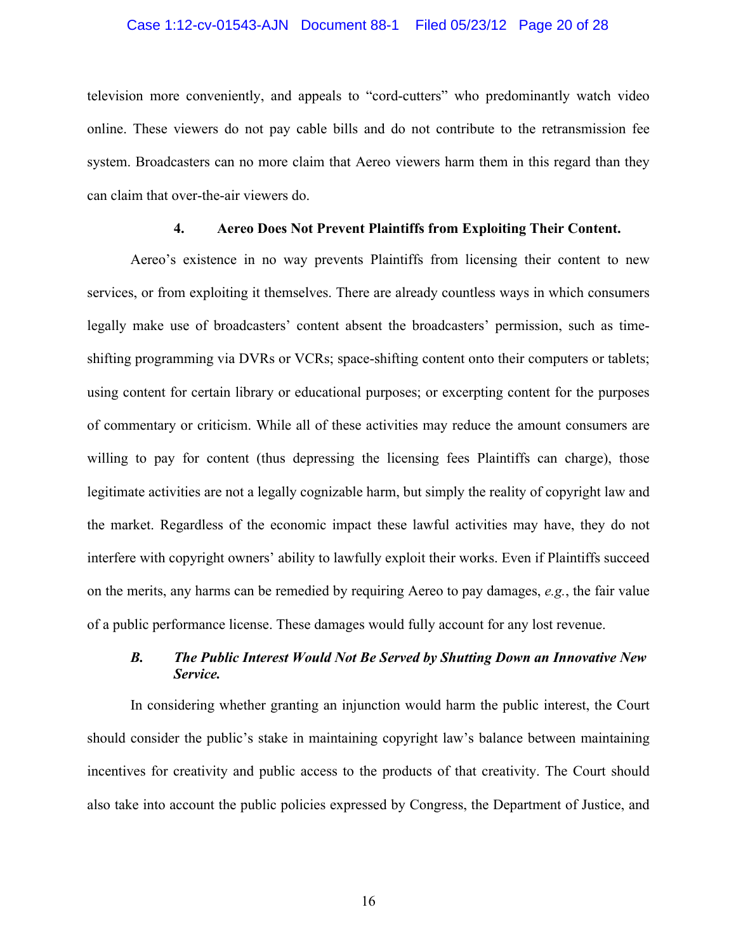#### Case 1:12-cv-01543-AJN Document 88-1 Filed 05/23/12 Page 20 of 28

television more conveniently, and appeals to "cord-cutters" who predominantly watch video online. These viewers do not pay cable bills and do not contribute to the retransmission fee system. Broadcasters can no more claim that Aereo viewers harm them in this regard than they can claim that over-the-air viewers do.

## **4. Aereo Does Not Prevent Plaintiffs from Exploiting Their Content.**

Aereo's existence in no way prevents Plaintiffs from licensing their content to new services, or from exploiting it themselves. There are already countless ways in which consumers legally make use of broadcasters' content absent the broadcasters' permission, such as timeshifting programming via DVRs or VCRs; space-shifting content onto their computers or tablets; using content for certain library or educational purposes; or excerpting content for the purposes of commentary or criticism. While all of these activities may reduce the amount consumers are willing to pay for content (thus depressing the licensing fees Plaintiffs can charge), those legitimate activities are not a legally cognizable harm, but simply the reality of copyright law and the market. Regardless of the economic impact these lawful activities may have, they do not interfere with copyright owners' ability to lawfully exploit their works. Even if Plaintiffs succeed on the merits, any harms can be remedied by requiring Aereo to pay damages, *e.g.*, the fair value of a public performance license. These damages would fully account for any lost revenue.

## *B. The Public Interest Would Not Be Served by Shutting Down an Innovative New Service.*

In considering whether granting an injunction would harm the public interest, the Court should consider the public's stake in maintaining copyright law's balance between maintaining incentives for creativity and public access to the products of that creativity. The Court should also take into account the public policies expressed by Congress, the Department of Justice, and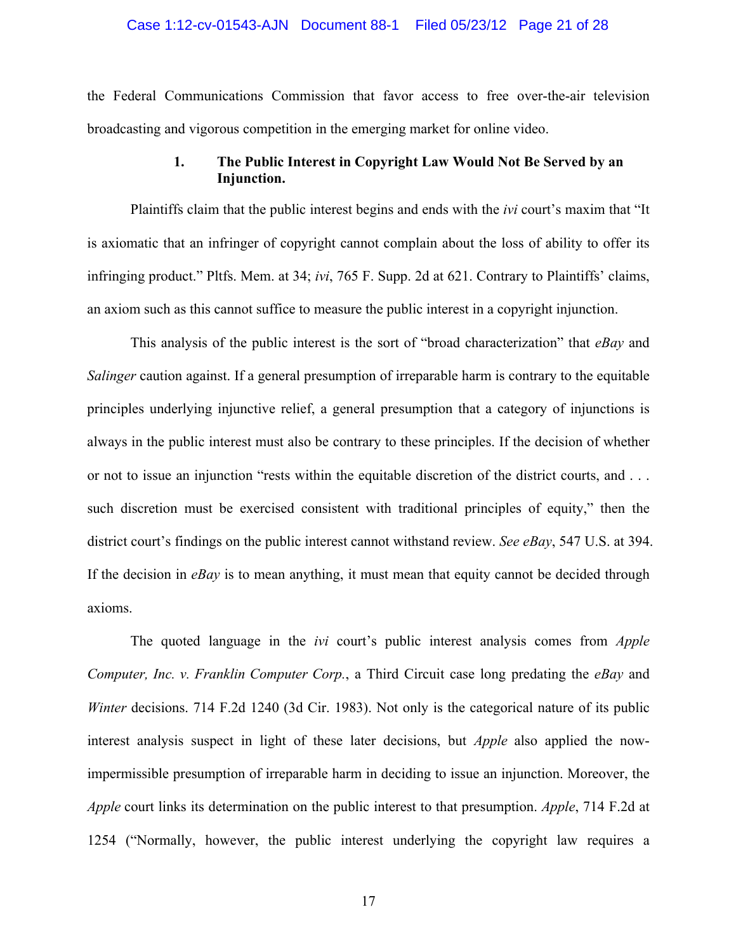#### Case 1:12-cv-01543-AJN Document 88-1 Filed 05/23/12 Page 21 of 28

the Federal Communications Commission that favor access to free over-the-air television broadcasting and vigorous competition in the emerging market for online video.

## **1. The Public Interest in Copyright Law Would Not Be Served by an Injunction.**

Plaintiffs claim that the public interest begins and ends with the *ivi* court's maxim that "It is axiomatic that an infringer of copyright cannot complain about the loss of ability to offer its infringing product." Pltfs. Mem. at 34; *ivi*, 765 F. Supp. 2d at 621. Contrary to Plaintiffs' claims, an axiom such as this cannot suffice to measure the public interest in a copyright injunction.

This analysis of the public interest is the sort of "broad characterization" that *eBay* and *Salinger* caution against. If a general presumption of irreparable harm is contrary to the equitable principles underlying injunctive relief, a general presumption that a category of injunctions is always in the public interest must also be contrary to these principles. If the decision of whether or not to issue an injunction "rests within the equitable discretion of the district courts, and . . . such discretion must be exercised consistent with traditional principles of equity," then the district court's findings on the public interest cannot withstand review. *See eBay*, 547 U.S. at 394. If the decision in *eBay* is to mean anything, it must mean that equity cannot be decided through axioms.

The quoted language in the *ivi* court's public interest analysis comes from *Apple Computer, Inc. v. Franklin Computer Corp.*, a Third Circuit case long predating the *eBay* and *Winter* decisions. 714 F.2d 1240 (3d Cir. 1983). Not only is the categorical nature of its public interest analysis suspect in light of these later decisions, but *Apple* also applied the nowimpermissible presumption of irreparable harm in deciding to issue an injunction. Moreover, the *Apple* court links its determination on the public interest to that presumption. *Apple*, 714 F.2d at 1254 ("Normally, however, the public interest underlying the copyright law requires a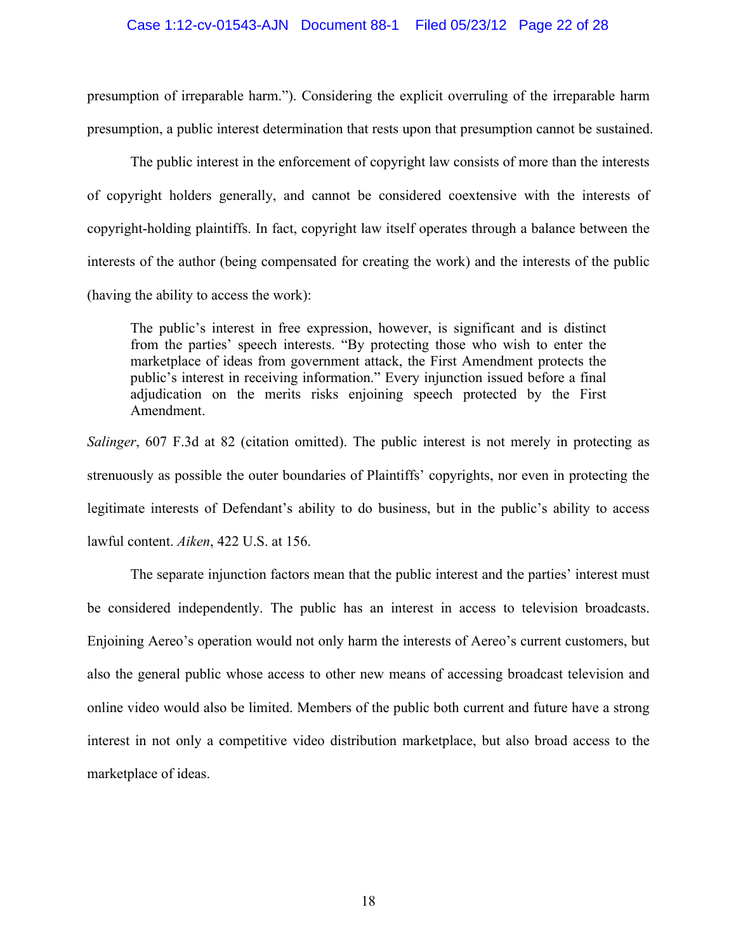### Case 1:12-cv-01543-AJN Document 88-1 Filed 05/23/12 Page 22 of 28

presumption of irreparable harm."). Considering the explicit overruling of the irreparable harm presumption, a public interest determination that rests upon that presumption cannot be sustained.

The public interest in the enforcement of copyright law consists of more than the interests of copyright holders generally, and cannot be considered coextensive with the interests of copyright-holding plaintiffs. In fact, copyright law itself operates through a balance between the interests of the author (being compensated for creating the work) and the interests of the public (having the ability to access the work):

The public's interest in free expression, however, is significant and is distinct from the parties' speech interests. "By protecting those who wish to enter the marketplace of ideas from government attack, the First Amendment protects the public's interest in receiving information." Every injunction issued before a final adjudication on the merits risks enjoining speech protected by the First Amendment.

*Salinger*, 607 F.3d at 82 (citation omitted). The public interest is not merely in protecting as strenuously as possible the outer boundaries of Plaintiffs' copyrights, nor even in protecting the legitimate interests of Defendant's ability to do business, but in the public's ability to access lawful content. *Aiken*, 422 U.S. at 156.

The separate injunction factors mean that the public interest and the parties' interest must be considered independently. The public has an interest in access to television broadcasts. Enjoining Aereo's operation would not only harm the interests of Aereo's current customers, but also the general public whose access to other new means of accessing broadcast television and online video would also be limited. Members of the public both current and future have a strong interest in not only a competitive video distribution marketplace, but also broad access to the marketplace of ideas.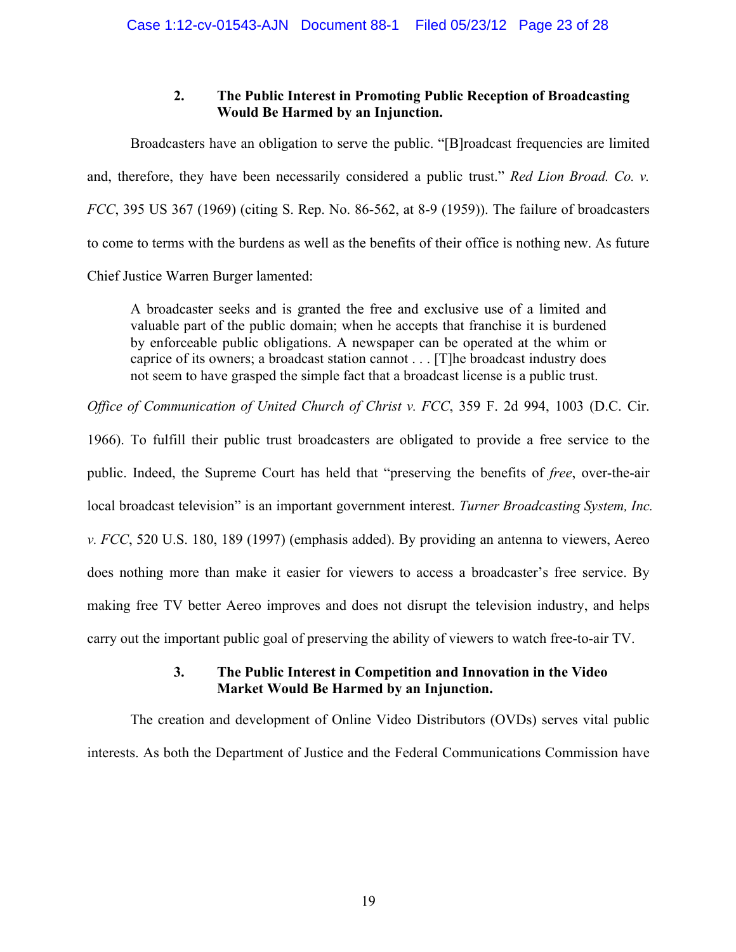# **2. The Public Interest in Promoting Public Reception of Broadcasting Would Be Harmed by an Injunction.**

Broadcasters have an obligation to serve the public. "[B]roadcast frequencies are limited and, therefore, they have been necessarily considered a public trust." *Red Lion Broad. Co. v. FCC*, 395 US 367 (1969) (citing S. Rep. No. 86-562, at 8-9 (1959)). The failure of broadcasters to come to terms with the burdens as well as the benefits of their office is nothing new. As future Chief Justice Warren Burger lamented:

A broadcaster seeks and is granted the free and exclusive use of a limited and valuable part of the public domain; when he accepts that franchise it is burdened by enforceable public obligations. A newspaper can be operated at the whim or caprice of its owners; a broadcast station cannot . . . [T]he broadcast industry does not seem to have grasped the simple fact that a broadcast license is a public trust.

*Office of Communication of United Church of Christ v. FCC*, 359 F. 2d 994, 1003 (D.C. Cir.

1966). To fulfill their public trust broadcasters are obligated to provide a free service to the public. Indeed, the Supreme Court has held that "preserving the benefits of *free*, over-the-air local broadcast television" is an important government interest. *Turner Broadcasting System, Inc. v. FCC*, 520 U.S. 180, 189 (1997) (emphasis added). By providing an antenna to viewers, Aereo does nothing more than make it easier for viewers to access a broadcaster's free service. By making free TV better Aereo improves and does not disrupt the television industry, and helps carry out the important public goal of preserving the ability of viewers to watch free-to-air TV.

# **3. The Public Interest in Competition and Innovation in the Video Market Would Be Harmed by an Injunction.**

The creation and development of Online Video Distributors (OVDs) serves vital public interests. As both the Department of Justice and the Federal Communications Commission have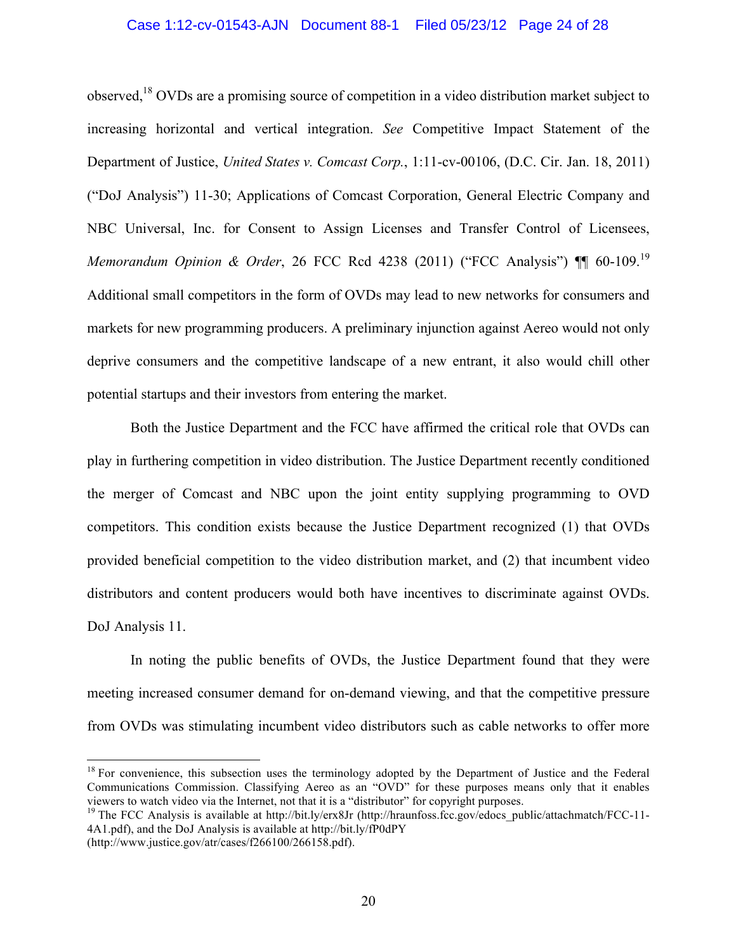#### Case 1:12-cv-01543-AJN Document 88-1 Filed 05/23/12 Page 24 of 28

observed,<sup>18</sup> OVDs are a promising source of competition in a video distribution market subject to increasing horizontal and vertical integration. *See* Competitive Impact Statement of the Department of Justice, *United States v. Comcast Corp.*, 1:11-cv-00106, (D.C. Cir. Jan. 18, 2011) ("DoJ Analysis") 11-30; Applications of Comcast Corporation, General Electric Company and NBC Universal, Inc. for Consent to Assign Licenses and Transfer Control of Licensees, *Memorandum Opinion & Order*, 26 FCC Rcd 4238 (2011) ("FCC Analysis") ¶¶ 60-109. 19 Additional small competitors in the form of OVDs may lead to new networks for consumers and markets for new programming producers. A preliminary injunction against Aereo would not only deprive consumers and the competitive landscape of a new entrant, it also would chill other potential startups and their investors from entering the market.

Both the Justice Department and the FCC have affirmed the critical role that OVDs can play in furthering competition in video distribution. The Justice Department recently conditioned the merger of Comcast and NBC upon the joint entity supplying programming to OVD competitors. This condition exists because the Justice Department recognized (1) that OVDs provided beneficial competition to the video distribution market, and (2) that incumbent video distributors and content producers would both have incentives to discriminate against OVDs. DoJ Analysis 11.

In noting the public benefits of OVDs, the Justice Department found that they were meeting increased consumer demand for on-demand viewing, and that the competitive pressure from OVDs was stimulating incumbent video distributors such as cable networks to offer more

 $18$  For convenience, this subsection uses the terminology adopted by the Department of Justice and the Federal Communications Commission. Classifying Aereo as an "OVD" for these purposes means only that it enables viewers to watch video via the Internet, not that it is a "distributor" for copyright purposes.

<sup>&</sup>lt;sup>19</sup> The FCC Analysis is available at http://bit.ly/erx8Jr (http://hraunfoss.fcc.gov/edocs\_public/attachmatch/FCC-11-4A1.pdf), and the DoJ Analysis is available at http://bit.ly/fP0dPY

<sup>(</sup>http://www.justice.gov/atr/cases/f266100/266158.pdf).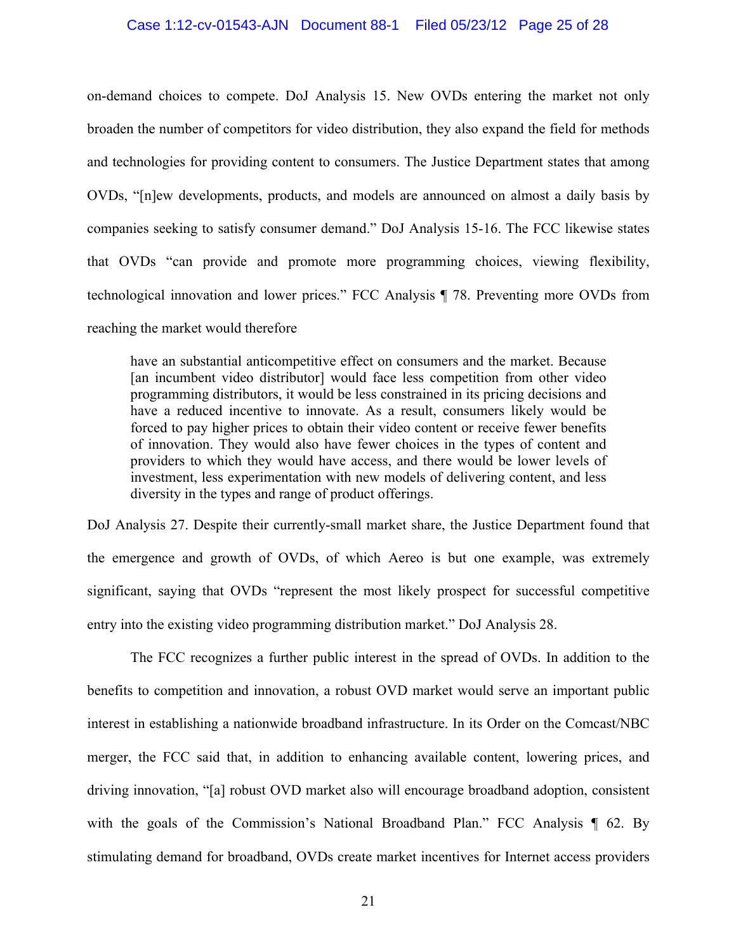#### Case 1:12-cv-01543-AJN Document 88-1 Filed 05/23/12 Page 25 of 28

on-demand choices to compete. DoJ Analysis 15. New OVDs entering the market not only broaden the number of competitors for video distribution, they also expand the field for methods and technologies for providing content to consumers. The Justice Department states that among OVDs, "[n]ew developments, products, and models are announced on almost a daily basis by companies seeking to satisfy consumer demand." DoJ Analysis 15-16. The FCC likewise states that OVDs "can provide and promote more programming choices, viewing flexibility, technological innovation and lower prices." FCC Analysis ¶ 78. Preventing more OVDs from reaching the market would therefore

have an substantial anticompetitive effect on consumers and the market. Because [an incumbent video distributor] would face less competition from other video programming distributors, it would be less constrained in its pricing decisions and have a reduced incentive to innovate. As a result, consumers likely would be forced to pay higher prices to obtain their video content or receive fewer benefits of innovation. They would also have fewer choices in the types of content and providers to which they would have access, and there would be lower levels of investment, less experimentation with new models of delivering content, and less diversity in the types and range of product offerings.

DoJ Analysis 27. Despite their currently-small market share, the Justice Department found that the emergence and growth of OVDs, of which Aereo is but one example, was extremely significant, saying that OVDs "represent the most likely prospect for successful competitive entry into the existing video programming distribution market." DoJ Analysis 28.

The FCC recognizes a further public interest in the spread of OVDs. In addition to the benefits to competition and innovation, a robust OVD market would serve an important public interest in establishing a nationwide broadband infrastructure. In its Order on the Comcast/NBC merger, the FCC said that, in addition to enhancing available content, lowering prices, and driving innovation, "[a] robust OVD market also will encourage broadband adoption, consistent with the goals of the Commission's National Broadband Plan." FCC Analysis ¶ 62. By stimulating demand for broadband, OVDs create market incentives for Internet access providers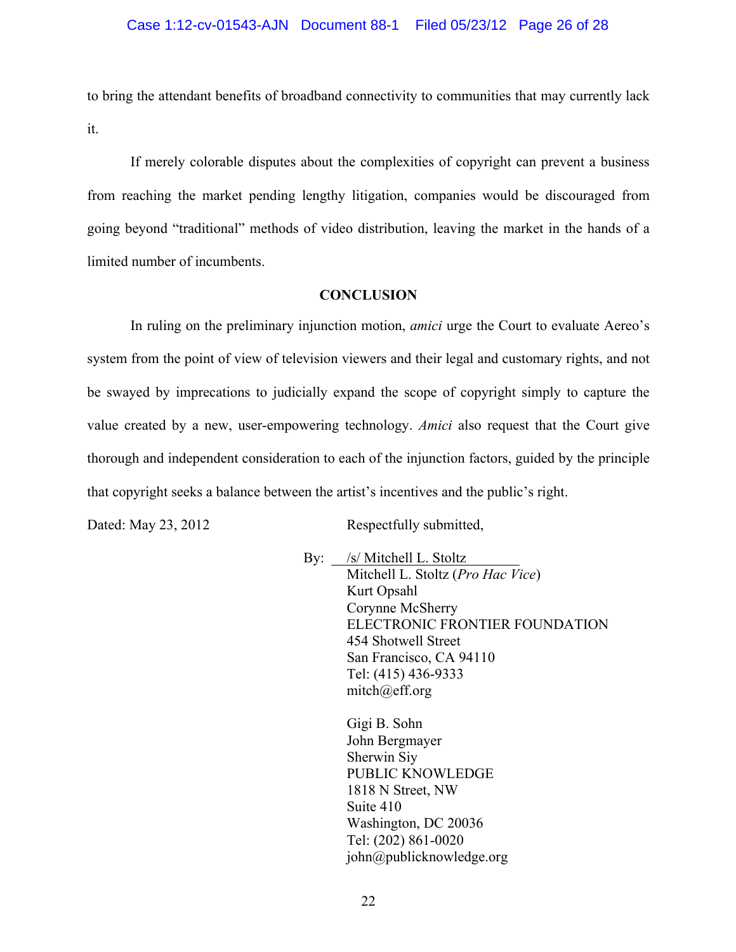to bring the attendant benefits of broadband connectivity to communities that may currently lack it.

If merely colorable disputes about the complexities of copyright can prevent a business from reaching the market pending lengthy litigation, companies would be discouraged from going beyond "traditional" methods of video distribution, leaving the market in the hands of a limited number of incumbents.

## **CONCLUSION**

In ruling on the preliminary injunction motion, *amici* urge the Court to evaluate Aereo's system from the point of view of television viewers and their legal and customary rights, and not be swayed by imprecations to judicially expand the scope of copyright simply to capture the value created by a new, user-empowering technology. *Amici* also request that the Court give thorough and independent consideration to each of the injunction factors, guided by the principle that copyright seeks a balance between the artist's incentives and the public's right.

Dated: May 23, 2012 Respectfully submitted,

By: /s/ Mitchell L. Stoltz Mitchell L. Stoltz (*Pro Hac Vice*) Kurt Opsahl Corynne McSherry ELECTRONIC FRONTIER FOUNDATION 454 Shotwell Street San Francisco, CA 94110 Tel: (415) 436-9333 mitch@eff.org

> Gigi B. Sohn John Bergmayer Sherwin Siy PUBLIC KNOWLEDGE 1818 N Street, NW Suite 410 Washington, DC 20036 Tel: (202) 861-0020 john@publicknowledge.org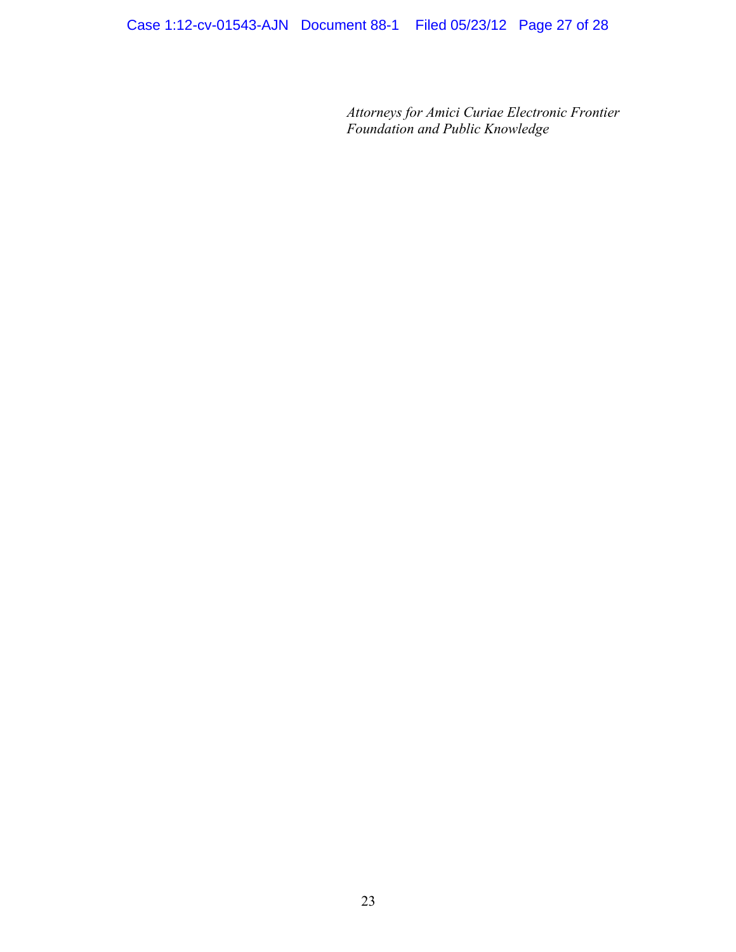*Attorneys for Amici Curiae Electronic Frontier Foundation and Public Knowledge*